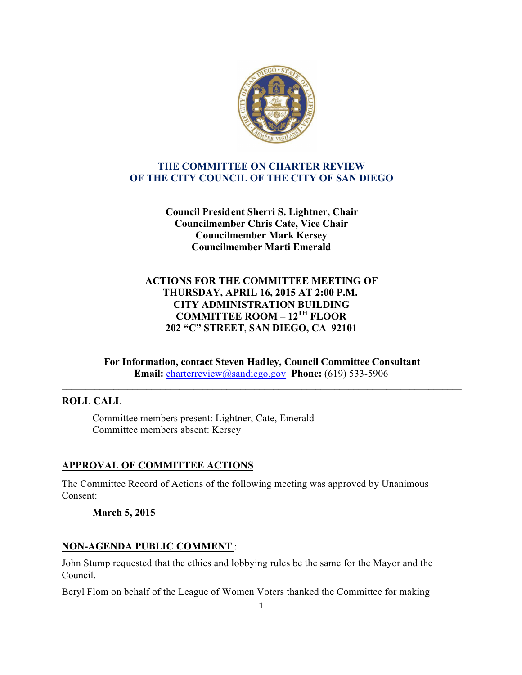

# **THE COMMITTEE ON CHARTER REVIEW OF THE CITY COUNCIL OF THE CITY OF SAN DIEGO**

**Council President Sherri S. Lightner, Chair Councilmember Chris Cate, Vice Chair Councilmember Mark Kersey Councilmember Marti Emerald**

# **ACTIONS FOR THE COMMITTEE MEETING OF THURSDAY, APRIL 16, 2015 AT 2:00 P.M. CITY ADMINISTRATION BUILDING COMMITTEE ROOM – 12TH FLOOR 202 "C" STREET**, **SAN DIEGO, CA 92101**

**For Information, contact Steven Hadley, Council Committee Consultant Email:** charterreview@sandiego.gov **Phone:** (619) 533-5906

**\_\_\_\_\_\_\_\_\_\_\_\_\_\_\_\_\_\_\_\_\_\_\_\_\_\_\_\_\_\_\_\_\_\_\_\_\_\_\_\_\_\_\_\_\_\_\_\_\_\_\_\_\_\_\_\_\_\_\_\_\_\_\_\_\_\_\_\_\_\_\_\_\_\_\_\_\_\_\_\_\_\_\_\_\_**

## **ROLL CALL**

Committee members present: Lightner, Cate, Emerald Committee members absent: Kersey

## **APPROVAL OF COMMITTEE ACTIONS**

The Committee Record of Actions of the following meeting was approved by Unanimous Consent:

## **March 5, 2015**

## **NON-AGENDA PUBLIC COMMENT** :

John Stump requested that the ethics and lobbying rules be the same for the Mayor and the Council.

Beryl Flom on behalf of the League of Women Voters thanked the Committee for making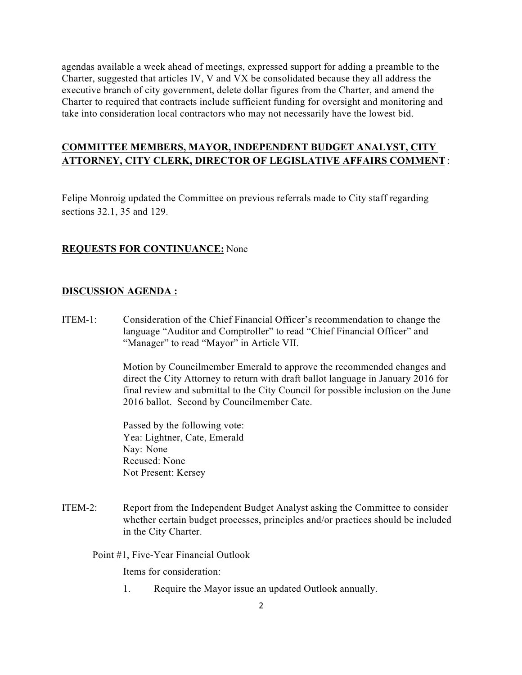agendas available a week ahead of meetings, expressed support for adding a preamble to the Charter, suggested that articles IV, V and VX be consolidated because they all address the executive branch of city government, delete dollar figures from the Charter, and amend the Charter to required that contracts include sufficient funding for oversight and monitoring and take into consideration local contractors who may not necessarily have the lowest bid.

# **COMMITTEE MEMBERS, MAYOR, INDEPENDENT BUDGET ANALYST, CITY ATTORNEY, CITY CLERK, DIRECTOR OF LEGISLATIVE AFFAIRS COMMENT** :

Felipe Monroig updated the Committee on previous referrals made to City staff regarding sections 32.1, 35 and 129.

### **REQUESTS FOR CONTINUANCE:** None

#### **DISCUSSION AGENDA :**

ITEM-1: Consideration of the Chief Financial Officer's recommendation to change the language "Auditor and Comptroller" to read "Chief Financial Officer" and "Manager" to read "Mayor" in Article VII.

> Motion by Councilmember Emerald to approve the recommended changes and direct the City Attorney to return with draft ballot language in January 2016 for final review and submittal to the City Council for possible inclusion on the June 2016 ballot. Second by Councilmember Cate.

 Passed by the following vote: Yea: Lightner, Cate, Emerald Nay: None Recused: None Not Present: Kersey

ITEM-2: Report from the Independent Budget Analyst asking the Committee to consider whether certain budget processes, principles and/or practices should be included in the City Charter.

Point #1, Five-Year Financial Outlook

Items for consideration:

1. Require the Mayor issue an updated Outlook annually.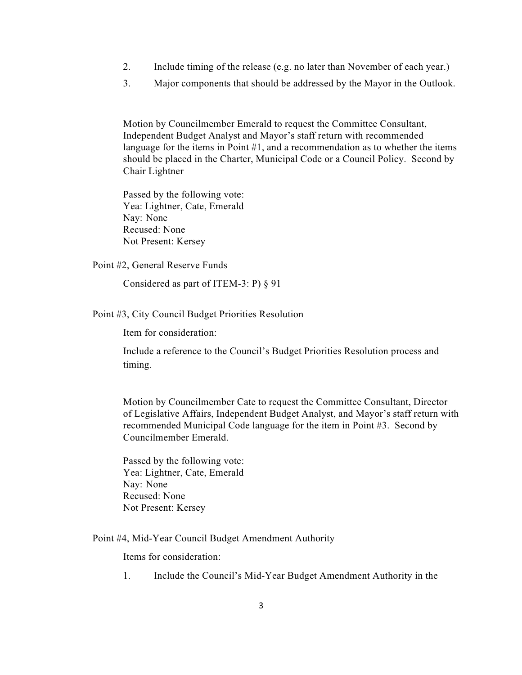- 2. Include timing of the release (e.g. no later than November of each year.)
- 3. Major components that should be addressed by the Mayor in the Outlook.

Motion by Councilmember Emerald to request the Committee Consultant, Independent Budget Analyst and Mayor's staff return with recommended language for the items in Point #1, and a recommendation as to whether the items should be placed in the Charter, Municipal Code or a Council Policy. Second by Chair Lightner

 Passed by the following vote: Yea: Lightner, Cate, Emerald Nay: None Recused: None Not Present: Kersey

Point #2, General Reserve Funds

Considered as part of ITEM-3: P) § 91

#### Point #3, City Council Budget Priorities Resolution

Item for consideration:

Include a reference to the Council's Budget Priorities Resolution process and timing.

Motion by Councilmember Cate to request the Committee Consultant, Director of Legislative Affairs, Independent Budget Analyst, and Mayor's staff return with recommended Municipal Code language for the item in Point #3. Second by Councilmember Emerald.

 Passed by the following vote: Yea: Lightner, Cate, Emerald Nay: None Recused: None Not Present: Kersey

Point #4, Mid-Year Council Budget Amendment Authority

Items for consideration:

1. Include the Council's Mid-Year Budget Amendment Authority in the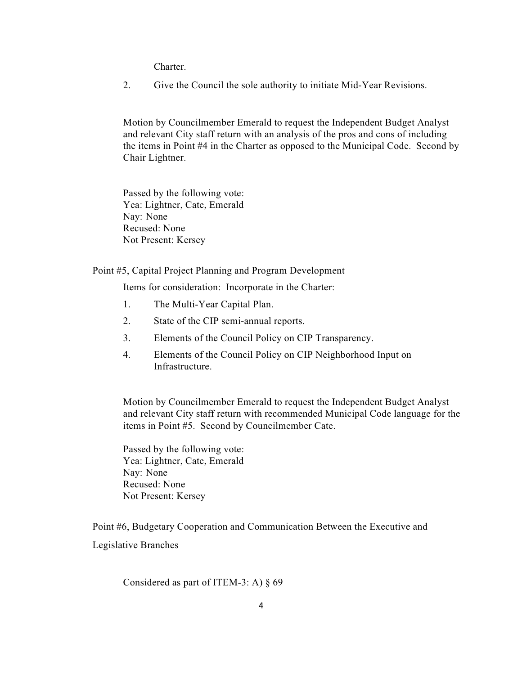**Charter** 

2. Give the Council the sole authority to initiate Mid-Year Revisions.

Motion by Councilmember Emerald to request the Independent Budget Analyst and relevant City staff return with an analysis of the pros and cons of including the items in Point #4 in the Charter as opposed to the Municipal Code. Second by Chair Lightner.

 Passed by the following vote: Yea: Lightner, Cate, Emerald Nay: None Recused: None Not Present: Kersey

#### Point #5, Capital Project Planning and Program Development

Items for consideration: Incorporate in the Charter:

- 1. The Multi-Year Capital Plan.
- 2. State of the CIP semi-annual reports.
- 3. Elements of the Council Policy on CIP Transparency.
- 4. Elements of the Council Policy on CIP Neighborhood Input on Infrastructure.

Motion by Councilmember Emerald to request the Independent Budget Analyst and relevant City staff return with recommended Municipal Code language for the items in Point #5. Second by Councilmember Cate.

 Passed by the following vote: Yea: Lightner, Cate, Emerald Nay: None Recused: None Not Present: Kersey

Point #6, Budgetary Cooperation and Communication Between the Executive and Legislative Branches

Considered as part of ITEM-3: A)  $\S$  69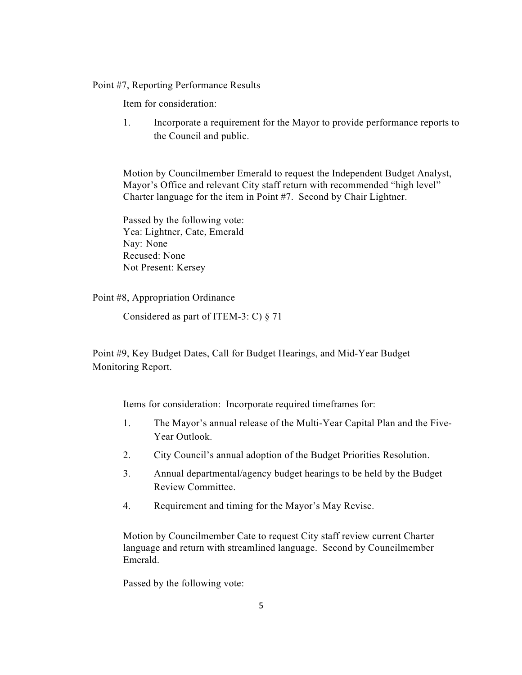#### Point #7, Reporting Performance Results

Item for consideration:

1. Incorporate a requirement for the Mayor to provide performance reports to the Council and public.

Motion by Councilmember Emerald to request the Independent Budget Analyst, Mayor's Office and relevant City staff return with recommended "high level" Charter language for the item in Point #7. Second by Chair Lightner.

 Passed by the following vote: Yea: Lightner, Cate, Emerald Nay: None Recused: None Not Present: Kersey

Point #8, Appropriation Ordinance

Considered as part of ITEM-3: C) § 71

Point #9, Key Budget Dates, Call for Budget Hearings, and Mid-Year Budget Monitoring Report.

Items for consideration: Incorporate required timeframes for:

- 1. The Mayor's annual release of the Multi-Year Capital Plan and the Five-Year Outlook.
- 2. City Council's annual adoption of the Budget Priorities Resolution.
- 3. Annual departmental/agency budget hearings to be held by the Budget Review Committee.
- 4. Requirement and timing for the Mayor's May Revise.

Motion by Councilmember Cate to request City staff review current Charter language and return with streamlined language. Second by Councilmember Emerald.

Passed by the following vote: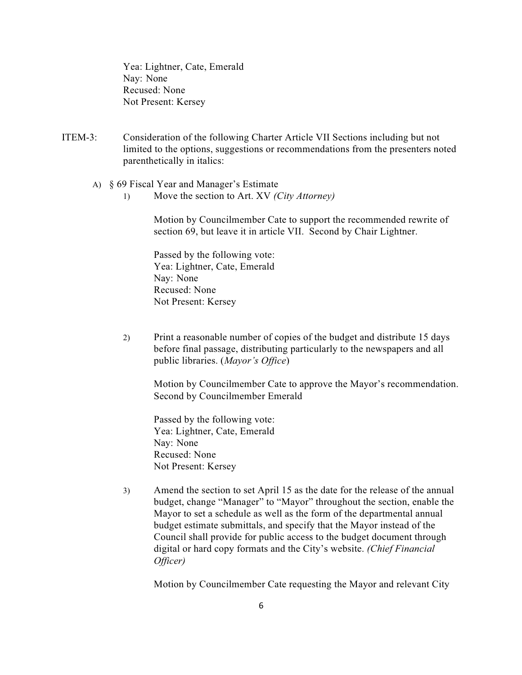Yea: Lightner, Cate, Emerald Nay: None Recused: None Not Present: Kersey

- ITEM-3: Consideration of the following Charter Article VII Sections including but not limited to the options, suggestions or recommendations from the presenters noted parenthetically in italics:
	- A) § 69 Fiscal Year and Manager's Estimate
		- 1) Move the section to Art. XV *(City Attorney)*

Motion by Councilmember Cate to support the recommended rewrite of section 69, but leave it in article VII. Second by Chair Lightner.

 Passed by the following vote: Yea: Lightner, Cate, Emerald Nay: None Recused: None Not Present: Kersey

2) Print a reasonable number of copies of the budget and distribute 15 days before final passage, distributing particularly to the newspapers and all public libraries. (*Mayor's Office*)

Motion by Councilmember Cate to approve the Mayor's recommendation. Second by Councilmember Emerald

 Passed by the following vote: Yea: Lightner, Cate, Emerald Nay: None Recused: None Not Present: Kersey

3) Amend the section to set April 15 as the date for the release of the annual budget, change "Manager" to "Mayor" throughout the section, enable the Mayor to set a schedule as well as the form of the departmental annual budget estimate submittals, and specify that the Mayor instead of the Council shall provide for public access to the budget document through digital or hard copy formats and the City's website. *(Chief Financial Officer)*

Motion by Councilmember Cate requesting the Mayor and relevant City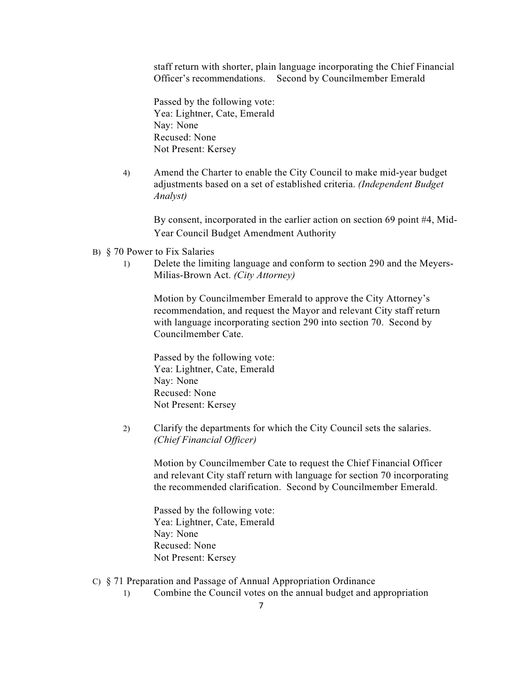staff return with shorter, plain language incorporating the Chief Financial Officer's recommendations. Second by Councilmember Emerald

 Passed by the following vote: Yea: Lightner, Cate, Emerald Nay: None Recused: None Not Present: Kersey

4) Amend the Charter to enable the City Council to make mid-year budget adjustments based on a set of established criteria. *(Independent Budget Analyst)*

By consent, incorporated in the earlier action on section 69 point #4, Mid-Year Council Budget Amendment Authority

- B) § 70 Power to Fix Salaries
	- 1) Delete the limiting language and conform to section 290 and the Meyers-Milias-Brown Act. *(City Attorney)*

Motion by Councilmember Emerald to approve the City Attorney's recommendation, and request the Mayor and relevant City staff return with language incorporating section 290 into section 70. Second by Councilmember Cate.

 Passed by the following vote: Yea: Lightner, Cate, Emerald Nay: None Recused: None Not Present: Kersey

2) Clarify the departments for which the City Council sets the salaries. *(Chief Financial Officer)*

Motion by Councilmember Cate to request the Chief Financial Officer and relevant City staff return with language for section 70 incorporating the recommended clarification. Second by Councilmember Emerald.

 Passed by the following vote: Yea: Lightner, Cate, Emerald Nay: None Recused: None Not Present: Kersey

- C) § 71 Preparation and Passage of Annual Appropriation Ordinance
	- 1) Combine the Council votes on the annual budget and appropriation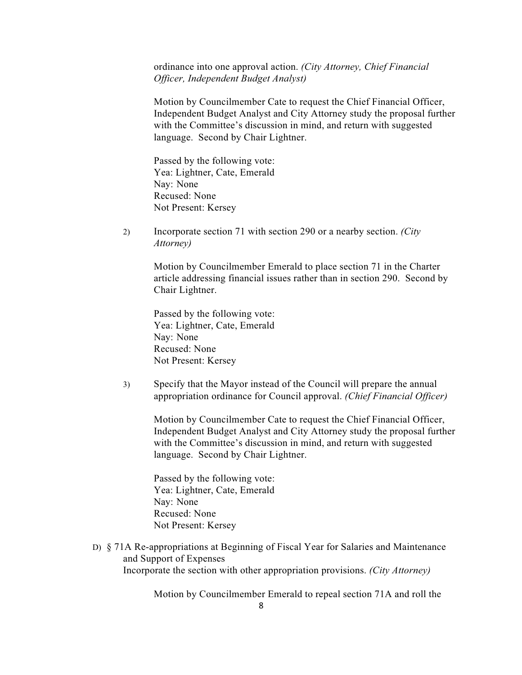ordinance into one approval action. *(City Attorney, Chief Financial Officer, Independent Budget Analyst)*

Motion by Councilmember Cate to request the Chief Financial Officer, Independent Budget Analyst and City Attorney study the proposal further with the Committee's discussion in mind, and return with suggested language. Second by Chair Lightner.

 Passed by the following vote: Yea: Lightner, Cate, Emerald Nay: None Recused: None Not Present: Kersey

2) Incorporate section 71 with section 290 or a nearby section. *(City Attorney)*

> Motion by Councilmember Emerald to place section 71 in the Charter article addressing financial issues rather than in section 290. Second by Chair Lightner.

 Passed by the following vote: Yea: Lightner, Cate, Emerald Nay: None Recused: None Not Present: Kersey

 3) Specify that the Mayor instead of the Council will prepare the annual appropriation ordinance for Council approval. *(Chief Financial Officer)*

Motion by Councilmember Cate to request the Chief Financial Officer, Independent Budget Analyst and City Attorney study the proposal further with the Committee's discussion in mind, and return with suggested language. Second by Chair Lightner.

 Passed by the following vote: Yea: Lightner, Cate, Emerald Nay: None Recused: None Not Present: Kersey

D) § 71A Re-appropriations at Beginning of Fiscal Year for Salaries and Maintenance and Support of Expenses Incorporate the section with other appropriation provisions. *(City Attorney)*

Motion by Councilmember Emerald to repeal section 71A and roll the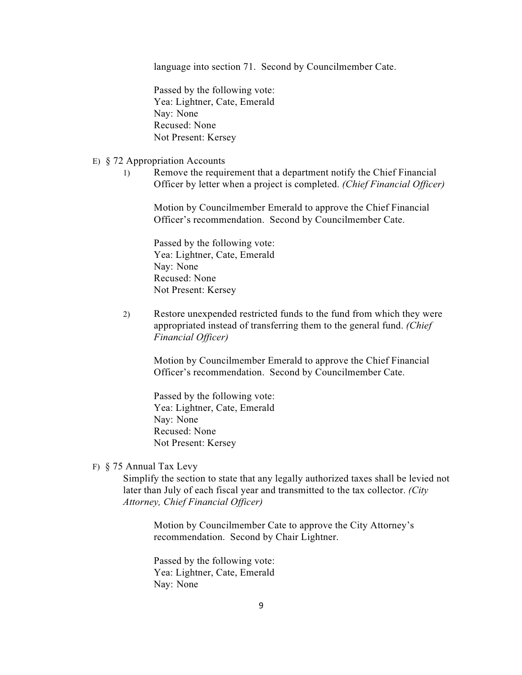language into section 71. Second by Councilmember Cate.

 Passed by the following vote: Yea: Lightner, Cate, Emerald Nay: None Recused: None Not Present: Kersey

#### E) § 72 Appropriation Accounts

 1) Remove the requirement that a department notify the Chief Financial Officer by letter when a project is completed. *(Chief Financial Officer)*

Motion by Councilmember Emerald to approve the Chief Financial Officer's recommendation. Second by Councilmember Cate.

 Passed by the following vote: Yea: Lightner, Cate, Emerald Nay: None Recused: None Not Present: Kersey

2) Restore unexpended restricted funds to the fund from which they were appropriated instead of transferring them to the general fund. *(Chief Financial Officer)*

Motion by Councilmember Emerald to approve the Chief Financial Officer's recommendation. Second by Councilmember Cate.

 Passed by the following vote: Yea: Lightner, Cate, Emerald Nay: None Recused: None Not Present: Kersey

F) § 75 Annual Tax Levy

Simplify the section to state that any legally authorized taxes shall be levied not later than July of each fiscal year and transmitted to the tax collector. *(City Attorney, Chief Financial Officer)*

Motion by Councilmember Cate to approve the City Attorney's recommendation. Second by Chair Lightner.

 Passed by the following vote: Yea: Lightner, Cate, Emerald Nay: None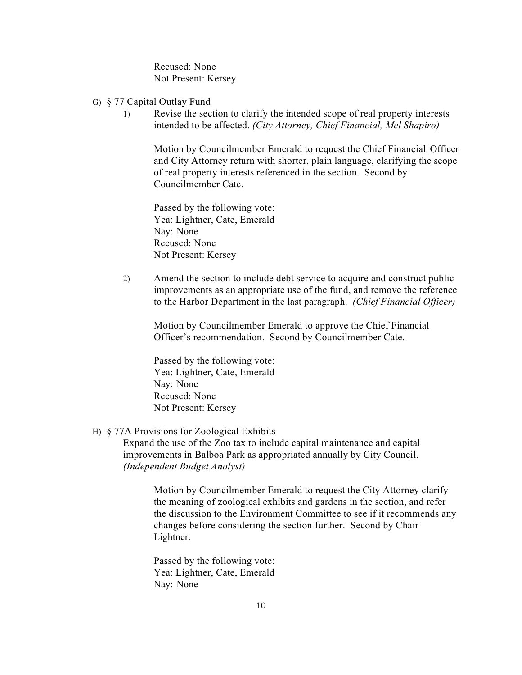Recused: None Not Present: Kersey

- G) § 77 Capital Outlay Fund
	- 1) Revise the section to clarify the intended scope of real property interests intended to be affected. *(City Attorney, Chief Financial, Mel Shapiro)*

Motion by Councilmember Emerald to request the Chief Financial Officer and City Attorney return with shorter, plain language, clarifying the scope of real property interests referenced in the section. Second by Councilmember Cate.

 Passed by the following vote: Yea: Lightner, Cate, Emerald Nay: None Recused: None Not Present: Kersey

2) Amend the section to include debt service to acquire and construct public improvements as an appropriate use of the fund, and remove the reference to the Harbor Department in the last paragraph. *(Chief Financial Officer)*

Motion by Councilmember Emerald to approve the Chief Financial Officer's recommendation. Second by Councilmember Cate.

 Passed by the following vote: Yea: Lightner, Cate, Emerald Nay: None Recused: None Not Present: Kersey

### H) § 77A Provisions for Zoological Exhibits

Expand the use of the Zoo tax to include capital maintenance and capital improvements in Balboa Park as appropriated annually by City Council. *(Independent Budget Analyst)*

> Motion by Councilmember Emerald to request the City Attorney clarify the meaning of zoological exhibits and gardens in the section, and refer the discussion to the Environment Committee to see if it recommends any changes before considering the section further. Second by Chair Lightner.

 Passed by the following vote: Yea: Lightner, Cate, Emerald Nay: None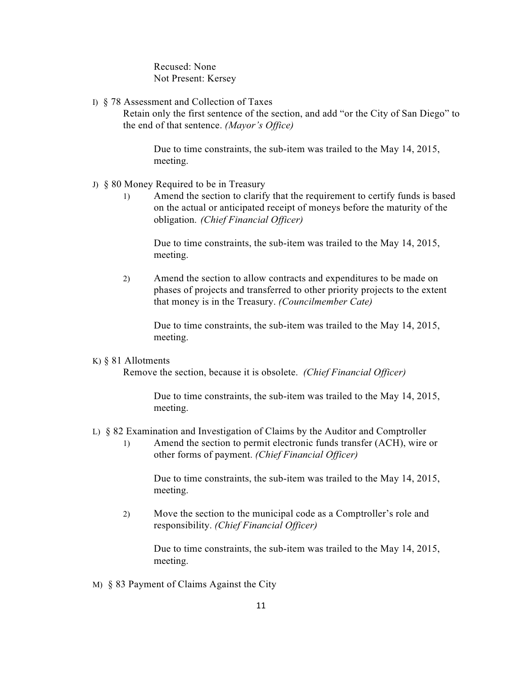Recused: None Not Present: Kersey

I) § 78 Assessment and Collection of Taxes

Retain only the first sentence of the section, and add "or the City of San Diego" to the end of that sentence. *(Mayor's Office)*

Due to time constraints, the sub-item was trailed to the May 14, 2015, meeting.

- J) § 80 Money Required to be in Treasury
	- 1) Amend the section to clarify that the requirement to certify funds is based on the actual or anticipated receipt of moneys before the maturity of the obligation. *(Chief Financial Officer)*

Due to time constraints, the sub-item was trailed to the May 14, 2015, meeting.

2) Amend the section to allow contracts and expenditures to be made on phases of projects and transferred to other priority projects to the extent that money is in the Treasury. *(Councilmember Cate)*

Due to time constraints, the sub-item was trailed to the May 14, 2015, meeting.

### K) § 81 Allotments

Remove the section, because it is obsolete. *(Chief Financial Officer)*

Due to time constraints, the sub-item was trailed to the May 14, 2015, meeting.

- L) § 82 Examination and Investigation of Claims by the Auditor and Comptroller
	- 1) Amend the section to permit electronic funds transfer (ACH), wire or other forms of payment. *(Chief Financial Officer)*

Due to time constraints, the sub-item was trailed to the May 14, 2015, meeting.

2) Move the section to the municipal code as a Comptroller's role and responsibility. *(Chief Financial Officer)*

Due to time constraints, the sub-item was trailed to the May 14, 2015, meeting.

M) § 83 Payment of Claims Against the City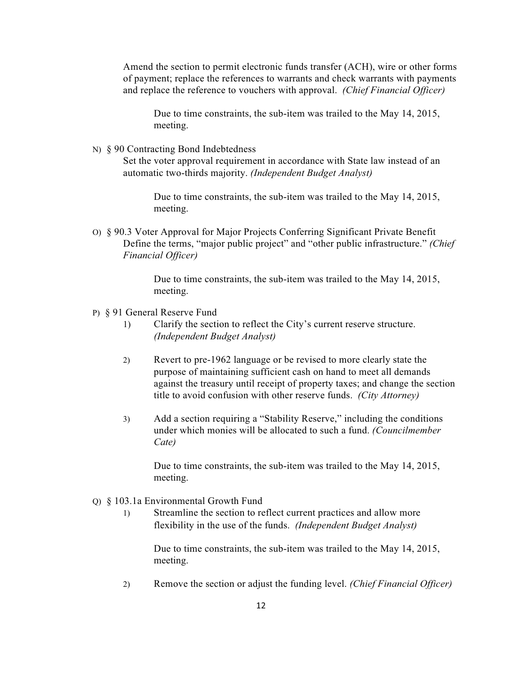Amend the section to permit electronic funds transfer (ACH), wire or other forms of payment; replace the references to warrants and check warrants with payments and replace the reference to vouchers with approval. *(Chief Financial Officer)*

Due to time constraints, the sub-item was trailed to the May 14, 2015, meeting.

N) § 90 Contracting Bond Indebtedness

Set the voter approval requirement in accordance with State law instead of an automatic two-thirds majority. *(Independent Budget Analyst)*

Due to time constraints, the sub-item was trailed to the May 14, 2015, meeting.

O) § 90.3 Voter Approval for Major Projects Conferring Significant Private Benefit Define the terms, "major public project" and "other public infrastructure." *(Chief Financial Officer)*

> Due to time constraints, the sub-item was trailed to the May 14, 2015, meeting.

- P) § 91 General Reserve Fund
	- 1) Clarify the section to reflect the City's current reserve structure. *(Independent Budget Analyst)*
	- 2) Revert to pre-1962 language or be revised to more clearly state the purpose of maintaining sufficient cash on hand to meet all demands against the treasury until receipt of property taxes; and change the section title to avoid confusion with other reserve funds. *(City Attorney)*
	- 3) Add a section requiring a "Stability Reserve," including the conditions under which monies will be allocated to such a fund. *(Councilmember Cate)*

Due to time constraints, the sub-item was trailed to the May 14, 2015, meeting.

- Q) § 103.1a Environmental Growth Fund
	- 1) Streamline the section to reflect current practices and allow more flexibility in the use of the funds. *(Independent Budget Analyst)*

Due to time constraints, the sub-item was trailed to the May 14, 2015, meeting.

2) Remove the section or adjust the funding level. *(Chief Financial Officer)*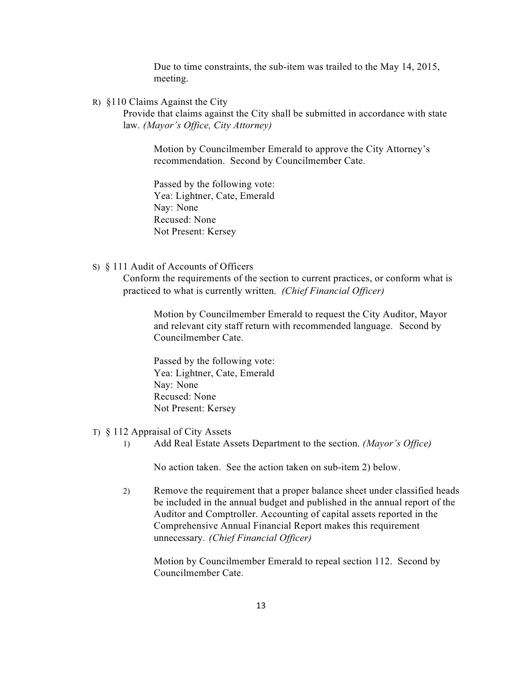Due to time constraints, the sub-item was trailed to the May 14, 2015, meeting.

R) §110 Claims Against the City

Provide that claims against the City shall be submitted in accordance with state law. *(Mayor's Office, City Attorney)*

Motion by Councilmember Emerald to approve the City Attorney's recommendation. Second by Councilmember Cate.

 Passed by the following vote: Yea: Lightner, Cate, Emerald Nay: None Recused: None Not Present: Kersey

S) § 111 Audit of Accounts of Officers

Conform the requirements of the section to current practices, or conform what is practiced to what is currently written. *(Chief Financial Officer)*

> Motion by Councilmember Emerald to request the City Auditor, Mayor and relevant city staff return with recommended language. Second by Councilmember Cate.

 Passed by the following vote: Yea: Lightner, Cate, Emerald Nay: None Recused: None Not Present: Kersey

- T) § 112 Appraisal of City Assets
	- 1) Add Real Estate Assets Department to the section. *(Mayor's Office)*

No action taken. See the action taken on sub-item 2) below.

 2) Remove the requirement that a proper balance sheet under classified heads be included in the annual budget and published in the annual report of the Auditor and Comptroller. Accounting of capital assets reported in the Comprehensive Annual Financial Report makes this requirement unnecessary. *(Chief Financial Officer)*

Motion by Councilmember Emerald to repeal section 112. Second by Councilmember Cate.